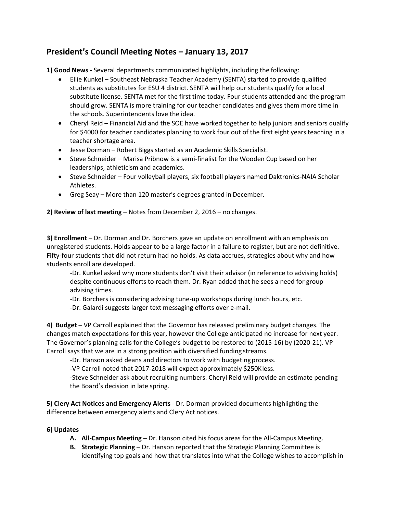## **President's Council Meeting Notes – January 13, 2017**

**1) Good News -** Several departments communicated highlights, including the following:

- · Ellie Kunkel Southeast Nebraska Teacher Academy (SENTA) started to provide qualified students as substitutes for ESU 4 district. SENTA will help our students qualify for a local substitute license. SENTA met for the first time today. Four students attended and the program should grow. SENTA is more training for our teacher candidates and gives them more time in the schools. Superintendents love the idea.
- · Cheryl Reid Financial Aid and the SOE have worked together to help juniors and seniors qualify for \$4000 for teacher candidates planning to work four out of the first eight years teaching in a teacher shortage area.
- · Jesse Dorman Robert Biggs started as an Academic Skills Specialist.
- · Steve Schneider Marisa Pribnow is a semi-finalist for the Wooden Cup based on her leaderships, athleticism and academics.
- · Steve Schneider Four volleyball players, six football players named Daktronics-NAIA Scholar Athletes.
- · Greg Seay More than 120 master's degrees granted in December.

**2) Review of last meeting –** Notes from December 2, 2016 – no changes.

**3) Enrollment** – Dr. Dorman and Dr. Borchers gave an update on enrollment with an emphasis on unregistered students. Holds appear to be a large factor in a failure to register, but are not definitive. Fifty-four students that did not return had no holds. As data accrues, strategies about why and how students enroll are developed.

-Dr. Kunkel asked why more students don't visit their advisor (in reference to advising holds) despite continuous efforts to reach them. Dr. Ryan added that he sees a need for group advising times.

-Dr. Borchers is considering advising tune-up workshops during lunch hours, etc.

-Dr. Galardi suggests larger text messaging efforts over e-mail.

**4) Budget –** VP Carroll explained that the Governor has released preliminary budget changes. The changes match expectations for this year, however the College anticipated no increase for next year. The Governor's planning calls for the College's budget to be restored to (2015-16) by (2020-21). VP Carroll says that we are in a strong position with diversified funding streams.

-Dr. Hanson asked deans and directors to work with budgeting process.

-VP Carroll noted that 2017-2018 will expect approximately \$250Kless.

-Steve Schneider ask about recruiting numbers. Cheryl Reid will provide an estimate pending the Board's decision in late spring.

**5) Clery Act Notices and Emergency Alerts** - Dr. Dorman provided documents highlighting the difference between emergency alerts and Clery Act notices.

## **6) Updates**

- A. All-Campus Meeting Dr. Hanson cited his focus areas for the All-Campus Meeting.
- **B. Strategic Planning**  Dr. Hanson reported that the Strategic Planning Committee is identifying top goals and how that translates into what the College wishes to accomplish in